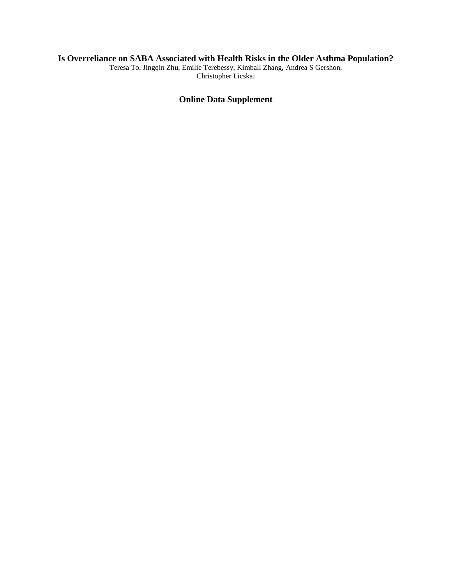## **Is Overreliance on SABA Associated with Health Risks in the Older Asthma Population?**

Teresa To, Jingqin Zhu, Emilie Terebessy, Kimball Zhang, Andrea S Gershon, Christopher Licskai

# **Online Data Supplement**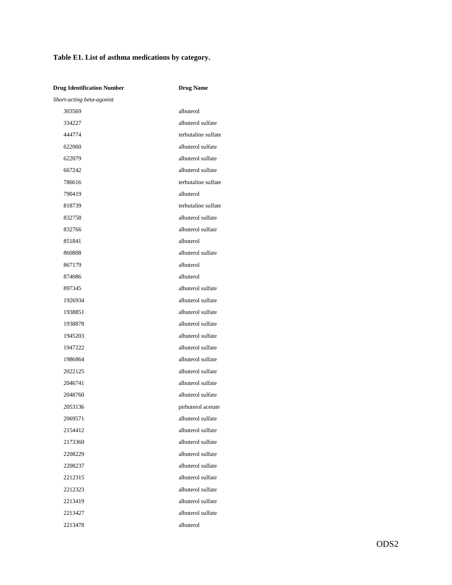# **Table E1. List of asthma medications by category.**

| <b>Drug Identification Number</b> | <b>Drug Name</b>    |
|-----------------------------------|---------------------|
| Short-acting beta-agonist         |                     |
| 303569                            | albuterol           |
| 334227                            | albuterol sulfate   |
| 444774                            | terbutaline sulfate |
| 622060                            | albuterol sulfate   |
| 622079                            | albuterol sulfate   |
| 667242                            | albuterol sulfate   |
| 786616                            | terbutaline sulfate |
| 790419                            | albuterol           |
| 818739                            | terbutaline sulfate |
| 832758                            | albuterol sulfate   |
| 832766                            | albuterol sulfate   |
| 851841                            | albuterol           |
| 860808                            | albuterol sulfate   |
| 867179                            | albuterol           |
| 874086                            | albuterol           |
| 897345                            | albuterol sulfate   |
| 1926934                           | albuterol sulfate   |
| 1938851                           | albuterol sulfate   |
| 1938878                           | albuterol sulfate   |
| 1945203                           | albuterol sulfate   |
| 1947222                           | albuterol sulfate   |
| 1986864                           | albuterol sulfate   |
| 2022125                           | albuterol sulfate   |
| 2046741                           | albuterol sulfate   |
| 2048760                           | albuterol sulfate   |
| 2053136                           | pirbuterol acetate  |
| 2069571                           | albuterol sulfate   |
| 2154412                           | albuterol sulfate   |
| 2173360                           | albuterol sulfate   |
| 2208229                           | albuterol sulfate   |
| 2208237                           | albuterol sulfate   |
| 2212315                           | albuterol sulfate   |
| 2212323                           | albuterol sulfate   |
| 2213419                           | albuterol sulfate   |
| 2213427                           | albuterol sulfate   |
| 2213478                           | albuterol           |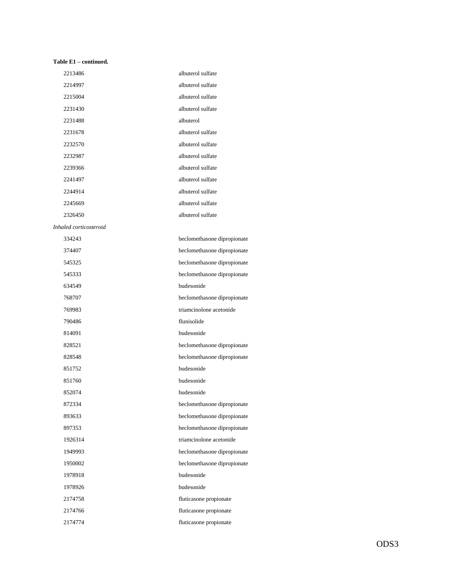#### **Table E1 – continued.**

| 2213486                | albuterol sulfate           |
|------------------------|-----------------------------|
| 2214997                | albuterol sulfate           |
| 2215004                | albuterol sulfate           |
| 2231430                | albuterol sulfate           |
| 2231488                | albuterol                   |
| 2231678                | albuterol sulfate           |
| 2232570                | albuterol sulfate           |
| 2232987                | albuterol sulfate           |
| 2239366                | albuterol sulfate           |
| 2241497                | albuterol sulfate           |
| 2244914                | albuterol sulfate           |
| 2245669                | albuterol sulfate           |
| 2326450                | albuterol sulfate           |
| Inhaled corticosteroid |                             |
| 334243                 | beclomethasone dipropionate |
| 374407                 | beclomethasone dipropionate |
| 545325                 | beclomethasone dipropionate |
| 545333                 | beclomethasone dipropionate |
| 634549                 | budesonide                  |
| 768707                 | beclomethasone dipropionate |
| 769983                 | triamcinolone acetonide     |
| 790486                 | flunisolide                 |
| 814091                 | budesonide                  |
| 828521                 | beclomethasone dipropionate |
| 828548                 | beclomethasone dipropionate |
| 851752                 | budesonide                  |
| 851760                 | budesonide                  |
| 852074                 | budesonide                  |
| 872334                 | beclomethasone dipropionate |
| 893633                 | beclomethasone dipropionate |
| 897353                 | beclomethasone dipropionate |
| 1926314                | triamcinolone acetonide     |
| 1949993                | beclomethasone dipropionate |
| 1950002                | beclomethasone dipropionate |
| 1978918                | budesonide                  |
| 1978926                | budesonide                  |
| 2174758                | fluticasone propionate      |
| 2174766                | fluticasone propionate      |
| 2174774                | fluticasone propionate      |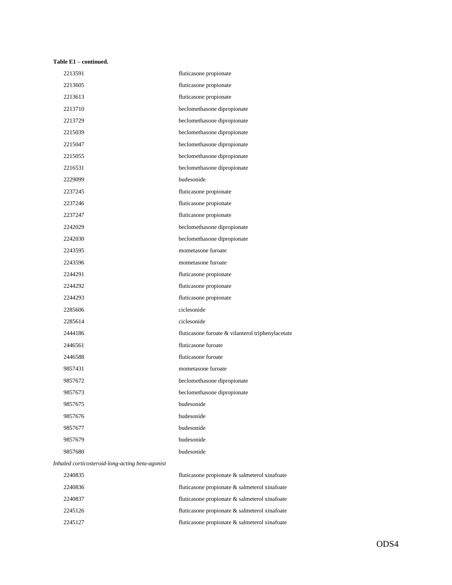### **Table E1 – continued.**

| 2213591                                         | fluticasone propionate                            |
|-------------------------------------------------|---------------------------------------------------|
| 2213605                                         | fluticasone propionate                            |
| 2213613                                         | fluticasone propionate                            |
| 2213710                                         | beclomethasone dipropionate                       |
| 2213729                                         | beclomethasone dipropionate                       |
| 2215039                                         | beclomethasone dipropionate                       |
| 2215047                                         | beclomethasone dipropionate                       |
| 2215055                                         | beclomethasone dipropionate                       |
| 2216531                                         | beclomethasone dipropionate                       |
| 2229099                                         | budesonide                                        |
| 2237245                                         | fluticasone propionate                            |
| 2237246                                         | fluticasone propionate                            |
| 2237247                                         | fluticasone propionate                            |
| 2242029                                         | beclomethasone dipropionate                       |
| 2242030                                         | beclomethasone dipropionate                       |
| 2243595                                         | mometasone furoate                                |
| 2243596                                         | mometasone furoate                                |
| 2244291                                         | fluticasone propionate                            |
| 2244292                                         | fluticasone propionate                            |
| 2244293                                         | fluticasone propionate                            |
| 2285606                                         | ciclesonide                                       |
| 2285614                                         | ciclesonide                                       |
| 2444186                                         | fluticasone furoate & vilanterol triphenylacetate |
| 2446561                                         | fluticasone furoate                               |
| 2446588                                         | fluticasone furoate                               |
| 9857431                                         | mometasone furoate                                |
| 9857672                                         | beclomethasone dipropionate                       |
| 9857673                                         | beclomethasone dipropionate                       |
| 9857675                                         | budesonide                                        |
| 9857676                                         | budesonide                                        |
| 9857677                                         | budesonide                                        |
| 9857679                                         | budesonide                                        |
| 9857680                                         | budesonide                                        |
| Inhaled corticosteroid-long-acting beta-agonist |                                                   |
| 2240835                                         | fluticasone propionate & salmeterol xinafoate     |
| 2240836                                         | fluticasone propionate & salmeterol xinafoate     |

| 2240836 | fluticasone propionate & salmeterol xinafoate |
|---------|-----------------------------------------------|
| 2240837 | fluticasone propionate & salmeterol xinafoate |
| 2245126 | fluticasone propionate & salmeterol xinafoate |
| 2245127 | fluticasone propionate & salmeterol xinafoate |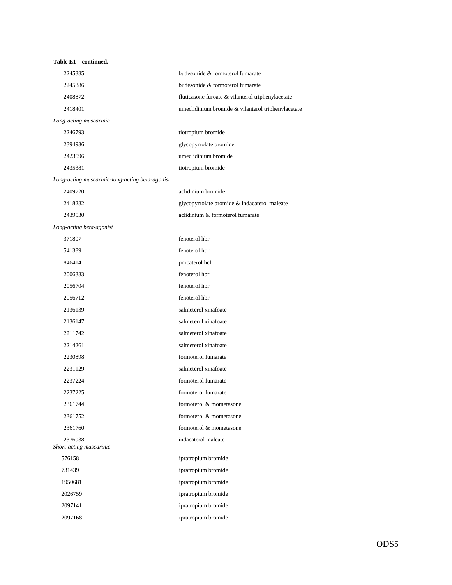| Table E1 - continued.                           |                                                    |
|-------------------------------------------------|----------------------------------------------------|
| 2245385                                         | budesonide & formoterol fumarate                   |
| 2245386                                         | budesonide & formoterol fumarate                   |
| 2408872                                         | fluticasone furoate & vilanterol triphenylacetate  |
| 2418401                                         | umeclidinium bromide & vilanterol triphenylacetate |
| Long-acting muscarinic                          |                                                    |
| 2246793                                         | tiotropium bromide                                 |
| 2394936                                         | glycopyrrolate bromide                             |
| 2423596                                         | umeclidinium bromide                               |
| 2435381                                         | tiotropium bromide                                 |
| Long-acting muscarinic-long-acting beta-agonist |                                                    |
| 2409720                                         | aclidinium bromide                                 |
| 2418282                                         | glycopyrrolate bromide & indacaterol maleate       |
| 2439530                                         | aclidinium & formoterol fumarate                   |
| Long-acting beta-agonist                        |                                                    |
| 371807                                          | fenoterol hbr                                      |
| 541389                                          | fenoterol hbr                                      |
| 846414                                          | procaterol hcl                                     |
| 2006383                                         | fenoterol hbr                                      |
| 2056704                                         | fenoterol hbr                                      |
| 2056712                                         | fenoterol hbr                                      |
| 2136139                                         | salmeterol xinafoate                               |
| 2136147                                         | salmeterol xinafoate                               |
| 2211742                                         | salmeterol xinafoate                               |
| 2214261                                         | salmeterol xinafoate                               |
| 2230898                                         | formoterol fumarate                                |
| 2231129                                         | salmeterol xinafoate                               |
| 2237224                                         | formoterol fumarate                                |
| 2237225                                         | formoterol fumarate                                |
| 2361744                                         | formoterol & mometasone                            |
| 2361752                                         | formoterol & mometasone                            |
| 2361760                                         | formoterol & mometasone                            |
| 2376938                                         | indacaterol maleate                                |
| Short-acting muscarinic<br>576158               |                                                    |
|                                                 | ipratropium bromide                                |
| 731439                                          | ipratropium bromide<br>ipratropium bromide         |
| 1950681                                         |                                                    |
| 2026759                                         | ipratropium bromide                                |
| 2097141                                         | ipratropium bromide                                |
| 2097168                                         | ipratropium bromide                                |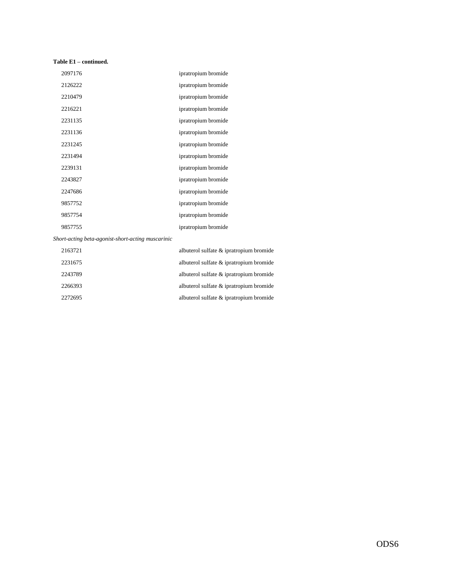### **Table E1 – continued.**

| 2097176 | ipratropium bromide |
|---------|---------------------|
| 2126222 | ipratropium bromide |
| 2210479 | ipratropium bromide |
| 2216221 | ipratropium bromide |
| 2231135 | ipratropium bromide |
| 2231136 | ipratropium bromide |
| 2231245 | ipratropium bromide |
| 2231494 | ipratropium bromide |
| 2239131 | ipratropium bromide |
| 2243827 | ipratropium bromide |
| 2247686 | ipratropium bromide |
| 9857752 | ipratropium bromide |
| 9857754 | ipratropium bromide |
| 9857755 | ipratropium bromide |

*Short-acting beta-agonist-short-acting muscarinic*

| albuterol sulfate & ipratropium bromide | 2163721 |
|-----------------------------------------|---------|
| albuterol sulfate & ipratropium bromide | 2231675 |
| albuterol sulfate & ipratropium bromide | 2243789 |
| albuterol sulfate & ipratropium bromide | 2266393 |
| albuterol sulfate & ipratropium bromide | 2272695 |